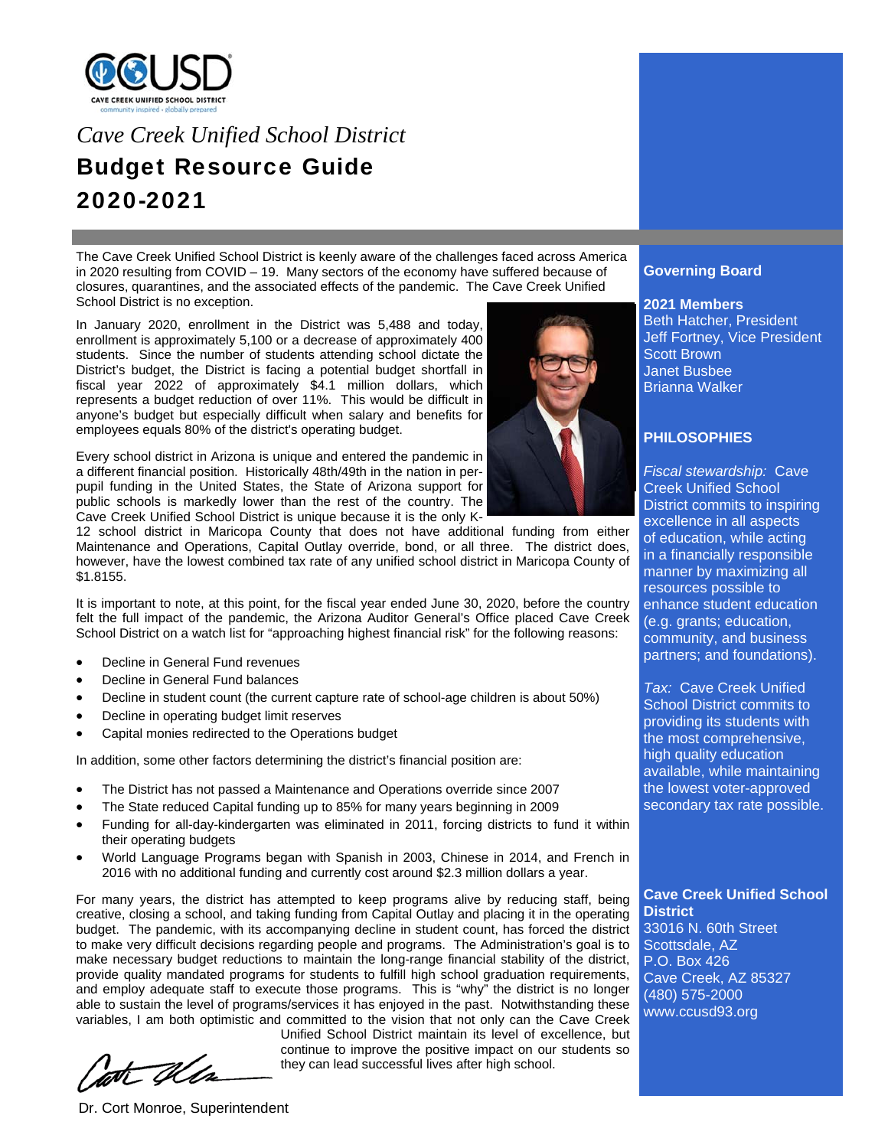

# *Cave Creek Unified School District*  Budget Resource Guide 2020-2021

The Cave Creek Unified School District is keenly aware of the challenges faced across America in 2020 resulting from COVID – 19. Many sectors of the economy have suffered because of closures, quarantines, and the associated effects of the pandemic. The Cave Creek Unified School District is no exception.

In January 2020, enrollment in the District was 5,488 and today, enrollment is approximately 5,100 or a decrease of approximately 400 students. Since the number of students attending school dictate the District's budget, the District is facing a potential budget shortfall in fiscal year 2022 of approximately \$4.1 million dollars, which represents a budget reduction of over 11%. This would be difficult in anyone's budget but especially difficult when salary and benefits for employees equals 80% of the district's operating budget.

Every school district in Arizona is unique and entered the pandemic in a different financial position. Historically 48th/49th in the nation in perpupil funding in the United States, the State of Arizona support for public schools is markedly lower than the rest of the country. The Cave Creek Unified School District is unique because it is the only K-

12 school district in Maricopa County that does not have additional funding from either Maintenance and Operations, Capital Outlay override, bond, or all three. The district does, however, have the lowest combined tax rate of any unified school district in Maricopa County of \$1.8155.

It is important to note, at this point, for the fiscal year ended June 30, 2020, before the country felt the full impact of the pandemic, the Arizona Auditor General's Office placed Cave Creek School District on a watch list for "approaching highest financial risk" for the following reasons:

- Decline in General Fund revenues
- Decline in General Fund balances
- Decline in student count (the current capture rate of school-age children is about 50%)
- Decline in operating budget limit reserves
- Capital monies redirected to the Operations budget

In addition, some other factors determining the district's financial position are:

- The District has not passed a Maintenance and Operations override since 2007
- The State reduced Capital funding up to 85% for many years beginning in 2009
- Funding for all-day-kindergarten was eliminated in 2011, forcing districts to fund it within their operating budgets
- World Language Programs began with Spanish in 2003, Chinese in 2014, and French in 2016 with no additional funding and currently cost around \$2.3 million dollars a year.

For many years, the district has attempted to keep programs alive by reducing staff, being creative, closing a school, and taking funding from Capital Outlay and placing it in the operating budget. The pandemic, with its accompanying decline in student count, has forced the district to make very difficult decisions regarding people and programs. The Administration's goal is to make necessary budget reductions to maintain the long-range financial stability of the district, provide quality mandated programs for students to fulfill high school graduation requirements, and employ adequate staff to execute those programs. This is "why" the district is no longer able to sustain the level of programs/services it has enjoyed in the past. Notwithstanding these variables, I am both optimistic and committed to the vision that not only can the Cave Creek

Dr. Cort Monroe, Superintendent

Unified School District maintain its level of excellence, but continue to improve the positive impact on our students so they can lead successful lives after high school.



## **Governing Board**

**2021 Members** 

Beth Hatcher, President Jeff Fortney, Vice President Scott Brown Janet Busbee Brianna Walker

# **PHILOSOPHIES**

*Fiscal stewardship:* Cave Creek Unified School District commits to inspiring excellence in all aspects of education, while acting in a financially responsible manner by maximizing all resources possible to enhance student education (e.g. grants; education, community, and business partners; and foundations).

*Tax:* Cave Creek Unified School District commits to providing its students with the most comprehensive, high quality education available, while maintaining the lowest voter-approved secondary tax rate possible.

**Cave Creek Unified School District** 

33016 N. 60th Street Scottsdale, AZ P.O. Box 426 Cave Creek, AZ 85327 (480) 575-2000

www.ccusd93.org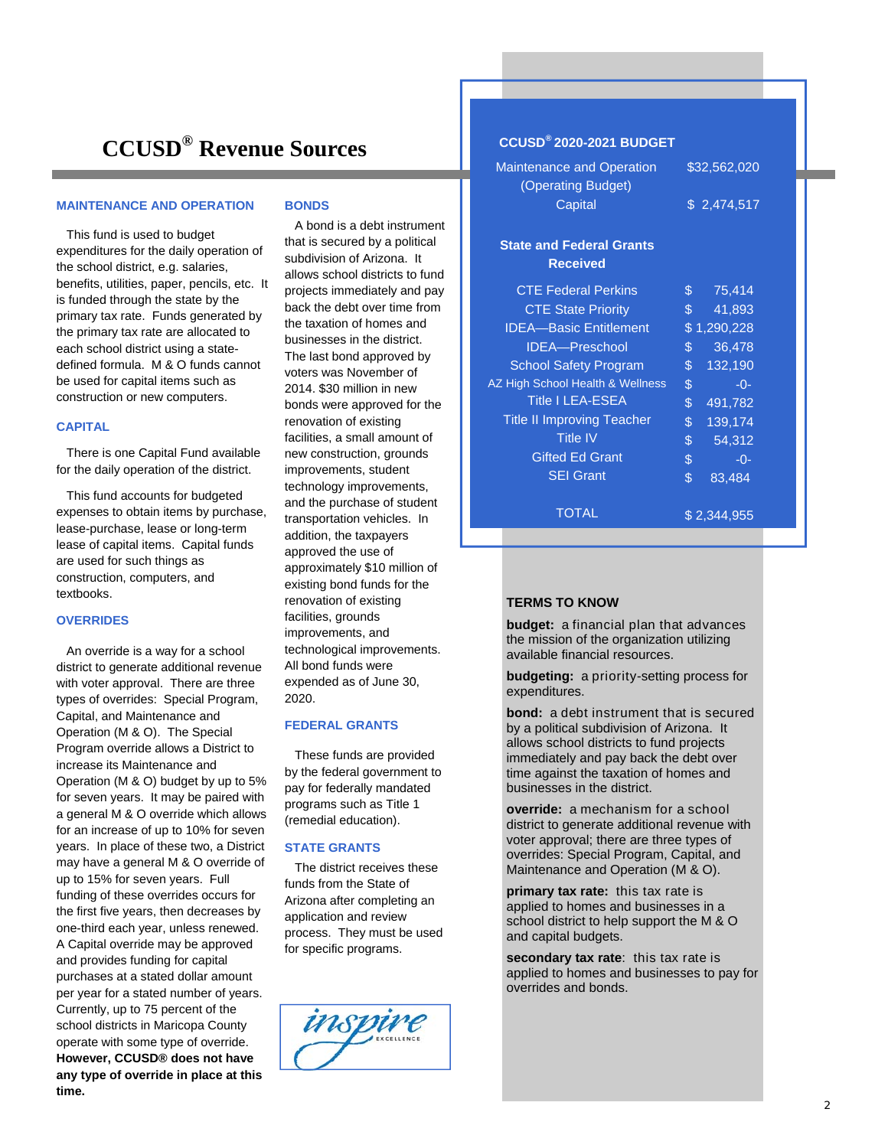# **CCUSD® Revenue Sources**

#### **MAINTENANCE AND OPERATION**

 This fund is used to budget expenditures for the daily operation of the school district, e.g. salaries, benefits, utilities, paper, pencils, etc. It is funded through the state by the primary tax rate. Funds generated by the primary tax rate are allocated to each school district using a statedefined formula. M & O funds cannot be used for capital items such as construction or new computers.

#### **CAPITAL**

 There is one Capital Fund available for the daily operation of the district.

 This fund accounts for budgeted expenses to obtain items by purchase, lease-purchase, lease or long-term lease of capital items. Capital funds are used for such things as construction, computers, and textbooks.

#### **OVERRIDES**

 An override is a way for a school district to generate additional revenue with voter approval. There are three types of overrides: Special Program, Capital, and Maintenance and Operation (M & O). The Special Program override allows a District to increase its Maintenance and Operation (M & O) budget by up to 5% for seven years. It may be paired with a general M & O override which allows for an increase of up to 10% for seven years. In place of these two, a District may have a general M & O override of up to 15% for seven years. Full funding of these overrides occurs for the first five years, then decreases by one-third each year, unless renewed. A Capital override may be approved and provides funding for capital purchases at a stated dollar amount per year for a stated number of years. Currently, up to 75 percent of the school districts in Maricopa County operate with some type of override. **However, CCUSD® does not have any type of override in place at this time.** 

#### **BONDS**

 A bond is a debt instrument that is secured by a political subdivision of Arizona. It allows school districts to fund projects immediately and pay back the debt over time from the taxation of homes and businesses in the district. The last bond approved by voters was November of 2014. \$30 million in new bonds were approved for the renovation of existing facilities, a small amount of new construction, grounds improvements, student technology improvements, and the purchase of student transportation vehicles. In addition, the taxpayers approved the use of approximately \$10 million of existing bond funds for the renovation of existing facilities, grounds improvements, and technological improvements. All bond funds were expended as of June 30, 2020.

#### **FEDERAL GRANTS**

 These funds are provided by the federal government to pay for federally mandated programs such as Title 1 (remedial education).

#### **STATE GRANTS**

 The district receives these funds from the State of Arizona after completing an application and review process. They must be used for specific programs.



### **CCUSD® 2020-2021 BUDGET**

| <b>Maintenance and Operation</b><br>(Operating Budget) | \$32,562,020   |             |
|--------------------------------------------------------|----------------|-------------|
| Capital                                                | \$2,474,517    |             |
| <b>State and Federal Grants</b><br><b>Received</b>     |                |             |
| <b>CTE Federal Perkins</b>                             | \$.            | 75,414      |
| <b>CTE State Priority</b>                              | $\mathbb{S}^-$ | 41,893      |
| <b>IDEA-Basic Entitlement</b>                          |                | \$1,290,228 |
| <b>IDEA-Preschool</b>                                  | $\mathfrak{L}$ | 36,478      |
| <b>School Safety Program</b>                           | $\mathbb{S}^-$ | 132,190     |
| AZ High School Health & Wellness                       | \$             | $-0-$       |
| <b>Title I LEA-ESEA</b>                                | $\frac{1}{2}$  | 491,782     |
| <b>Title II Improving Teacher</b>                      | \$             | 139,174     |
| <b>Title IV</b>                                        | $\frac{1}{2}$  | 54,312      |
| <b>Gifted Ed Grant</b>                                 | \$             | $-0-$       |
| <b>SEI Grant</b>                                       | \$             | 83,484      |
| TOTAL                                                  | \$2,344,955    |             |

#### **TERMS TO KNOW**

**budget:** a financial plan that advances the mission of the organization utilizing available financial resources.

**budgeting:** a priority-setting process for expenditures.

**bond:** a debt instrument that is secured by a political subdivision of Arizona. It allows school districts to fund projects immediately and pay back the debt over time against the taxation of homes and businesses in the district.

**override:** a mechanism for a school district to generate additional revenue with voter approval; there are three types of overrides: Special Program, Capital, and Maintenance and Operation (M & O).

**primary tax rate:** this tax rate is applied to homes and businesses in a school district to help support the M & O and capital budgets.

**secondary tax rate**: this tax rate is applied to homes and businesses to pay for overrides and bonds.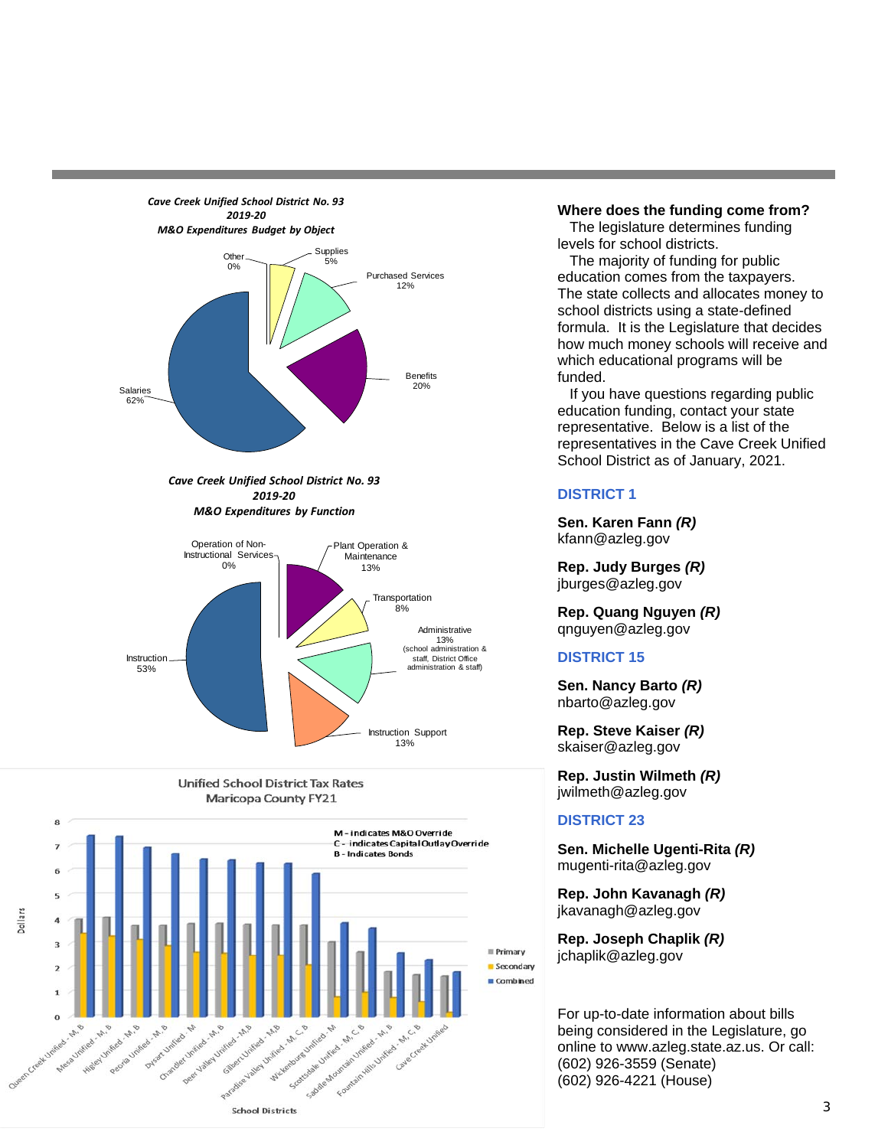

Maricopa County FY21



### **Where does the funding come from?**

 The legislature determines funding levels for school districts.

 The majority of funding for public education comes from the taxpayers. The state collects and allocates money to school districts using a state-defined formula. It is the Legislature that decides how much money schools will receive and which educational programs will be funded.

 If you have questions regarding public education funding, contact your state representative. Below is a list of the representatives in the Cave Creek Unified School District as of January, 2021.

## **DISTRICT 1**

**Sen. Karen Fann** *(R)* kfann@azleg.gov

**Rep. Judy Burges** *(R)* jburges@azleg.gov

**Rep. Quang Nguyen** *(R)* qnguyen@azleg.gov

## **DISTRICT 15**

**Sen. Nancy Barto** *(R)* nbarto@azleg.gov

**Rep. Steve Kaiser** *(R)* skaiser@azleg.gov

**Rep. Justin Wilmeth** *(R)* jwilmeth@azleg.gov

### **DISTRICT 23**

**Sen. Michelle Ugenti-Rita** *(R)* mugenti-rita@azleg.gov

**Rep. John Kavanagh** *(R)* jkavanagh@azleg.gov

**Rep. Joseph Chaplik** *(R)* jchaplik@azleg.gov

For up-to-date information about bills being considered in the Legislature, go online to www.azleg.state.az.us. Or call: (602) 926-3559 (Senate) (602) 926-4221 (House)